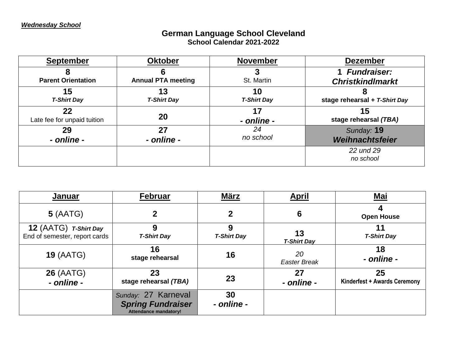## **German Language School Cleveland School Calendar 2021-2022**

| <b>September</b>                  | <b>Oktober</b>            | <b>November</b>          | <b>Dezember</b>               |
|-----------------------------------|---------------------------|--------------------------|-------------------------------|
|                                   |                           |                          | 1 Fundraiser:                 |
| <b>Parent Orientation</b>         | <b>Annual PTA meeting</b> | St. Martin               | <b>Christkindlmarkt</b>       |
| 15<br><b>T-Shirt Day</b>          | 13<br><b>T-Shirt Day</b>  | 10<br><b>T-Shirt Day</b> | stage rehearsal + T-Shirt Day |
| 22<br>Late fee for unpaid tuition | 20                        | 17<br>- online -         | 15<br>stage rehearsal (TBA)   |
| 29                                | 27                        | 24                       | Sunday: 19                    |
| - online -                        | - online -                | no school                | Weihnachtsfeier               |
|                                   |                           |                          | 22 und 29<br>no school        |

| <b>Januar</b>                                          | Februar                                                                         | <b>März</b>             | <u>April</u>              | <u>Mai</u>                         |
|--------------------------------------------------------|---------------------------------------------------------------------------------|-------------------------|---------------------------|------------------------------------|
| 5(AATG)                                                | $\mathbf 2$                                                                     | $\mathbf 2$             | 6                         | <b>Open House</b>                  |
| 12 (AATG) T-Shirt Day<br>End of semester, report cards | 9<br><b>T-Shirt Day</b>                                                         | 9<br><b>T-Shirt Day</b> | 13<br><b>T-Shirt Day</b>  | 11<br><b>T-Shirt Day</b>           |
| <b>19 (AATG)</b>                                       | 16<br>stage rehearsal                                                           | 16                      | 20<br><b>Easter Break</b> | 18<br>- online -                   |
| <b>26 (AATG)</b><br>- online -                         | 23<br>stage rehearsal (TBA)                                                     | 23                      | 27<br>- online -          | 25<br>Kinderfest + Awards Ceremony |
|                                                        | Sunday: 27 Karneval<br><b>Spring Fundraiser</b><br><b>Attendance mandatory!</b> | 30<br>- online -        |                           |                                    |